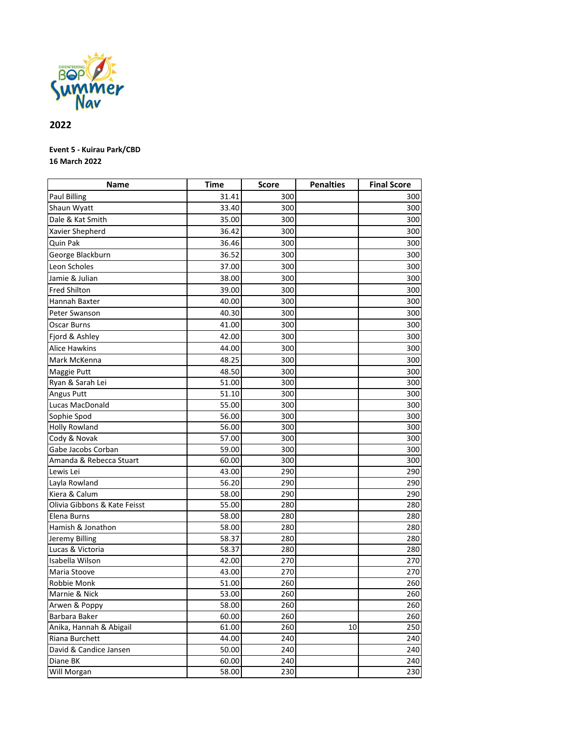

## **2022**

## **Event 5 - Kuirau Park/CBD 16 March 2022**

| <b>Name</b>                  | <b>Time</b> | <b>Score</b> | <b>Penalties</b> | <b>Final Score</b> |
|------------------------------|-------------|--------------|------------------|--------------------|
| <b>Paul Billing</b>          | 31.41       | 300          |                  | 300                |
| Shaun Wyatt                  | 33.40       | 300          |                  | 300                |
| Dale & Kat Smith             | 35.00       | 300          |                  | 300                |
| Xavier Shepherd              | 36.42       | 300          |                  | 300                |
| Quin Pak                     | 36.46       | 300          |                  | 300                |
| George Blackburn             | 36.52       | 300          |                  | 300                |
| Leon Scholes                 | 37.00       | 300          |                  | 300                |
| Jamie & Julian               | 38.00       | 300          |                  | 300                |
| <b>Fred Shilton</b>          | 39.00       | 300          |                  | 300                |
| Hannah Baxter                | 40.00       | 300          |                  | 300                |
| Peter Swanson                | 40.30       | 300          |                  | 300                |
| Oscar Burns                  | 41.00       | 300          |                  | 300                |
| Fjord & Ashley               | 42.00       | 300          |                  | 300                |
| <b>Alice Hawkins</b>         | 44.00       | 300          |                  | 300                |
| Mark McKenna                 | 48.25       | 300          |                  | 300                |
| Maggie Putt                  | 48.50       | 300          |                  | 300                |
| Ryan & Sarah Lei             | 51.00       | 300          |                  | 300                |
| Angus Putt                   | 51.10       | 300          |                  | 300                |
| Lucas MacDonald              | 55.00       | 300          |                  | 300                |
| Sophie Spod                  | 56.00       | 300          |                  | 300                |
| <b>Holly Rowland</b>         | 56.00       | 300          |                  | 300                |
| Cody & Novak                 | 57.00       | 300          |                  | 300                |
| Gabe Jacobs Corban           | 59.00       | 300          |                  | 300                |
| Amanda & Rebecca Stuart      | 60.00       | 300          |                  | 300                |
| Lewis Lei                    | 43.00       | 290          |                  | 290                |
| Layla Rowland                | 56.20       | 290          |                  | 290                |
| Kiera & Calum                | 58.00       | 290          |                  | 290                |
| Olivia Gibbons & Kate Feisst | 55.00       | 280          |                  | 280                |
| Elena Burns                  | 58.00       | 280          |                  | 280                |
| Hamish & Jonathon            | 58.00       | 280          |                  | 280                |
| Jeremy Billing               | 58.37       | 280          |                  | 280                |
| Lucas & Victoria             | 58.37       | 280          |                  | 280                |
| Isabella Wilson              | 42.00       | 270          |                  | 270                |
| Maria Stoove                 | 43.00       | 270          |                  | 270                |
| Robbie Monk                  | 51.00       | 260          |                  | 260                |
| Marnie & Nick                | 53.00       | 260          |                  | 260                |
| Arwen & Poppy                | 58.00       | 260          |                  | 260                |
| Barbara Baker                | 60.00       | 260          |                  | 260                |
| Anika, Hannah & Abigail      | 61.00       | 260          | 10               | 250                |
| Riana Burchett               | 44.00       | 240          |                  | 240                |
| David & Candice Jansen       | 50.00       | 240          |                  | 240                |
| Diane BK                     | 60.00       | 240          |                  | 240                |
| Will Morgan                  | 58.00       | 230          |                  | 230                |